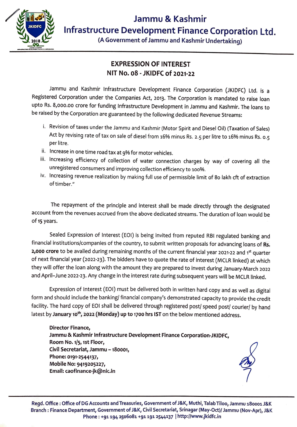

(A Government of Jammu and Kashmir Undertaking)

## **EXPRESSION OF INTEREST NIT No. 08 -JKIDFC of 2021-22**

Jammu and Kashmir Infrastructure Development Finance Corporation (JKIDFC) Ltd. is a Registered Corporation under the Companies Act, 2013. The Corporation is mandated to raise loan upto Rs. 8,000.00 crore for funding Infrastructure Development in Jammu and Kashmir. The loans to be raised by the Corporation are guaranteed by the following dedicated Revenue Streams:

- i. Revision of taxes under the Jammu and Kashmir (Motor Spirit and Diesel Oil) (Taxation of Sales) Act by revising rate of tax on sale of diesel from 16% minus Rs . 2.5 per litre to 16% minus Rs. 0.5 per litre.
- ii. Increase in one time road tax at 9% for motor vehicles.
- iii. Increasing efficiency of collection of water connection charges by way of covering all the unregistered consumers and improving collection efficiency to 100%.
- iv. Increasing revenue realization by making full use of permissible limit of 80 lakh cft of extraction of timber."

The repayment of the principle and interest shall be made directly through the designated account from the revenues accrued from the above dedicated streams. The duration of loan would be of **15** years.

Sealed Expression of Interest (EOI) is being invited from reputed RBI regulated banking and financial institutions/companies of the country, to submit written proposals for advancing loans of **Rs.**  2,000 crore to be availed during remaining months of the current financial year 2021-22 and 1<sup>st</sup> quarter of next financial year (2022-23). The bidders have to quote the rate of interest (MCLR linked) at which they will offer the loan along with the amount they are prepared to invest during January-March 2022 and April-June 2022-23. Any change in the interest rate during subsequent years will be MCLR linked.

Expression of Interest (EOI) must be delivered both in written hard copy and as well as digital form and should include the banking/ financial company's demonstrated capacity to provide the credit facility. The hard copy of EOI shall be delivered through registered post/ speed post/ courier/ by hand latest by **January 10<sup>1</sup> \ 2022 (Monday) up to 1700 hrs 1ST** on the below mentioned address.

**Director Finance, Jammu** & **Kashmir Infrastructure Development Finance Corporation-JKIDFC, Room No. 1/5, 1st Floor, Civil Secretariat, Jammu -180001, Phone: 0191-2544137, Mobile No: 9419205227, Email: caofinance-jk@nic.in** 



Regd. Office : Office of DG Accounts and Treasuries, Government of J&K, Muthi, Talab Tiloo, Jammu 180001 J&K Branch : Finance Department, Government of J&K, Civil Secretariat, Srinagar (May-Oct)/ Jammu (Nov-Apr), J&K Phone : +91 194 2506081 +91 191 2544137 | http://www.jkidfc.in